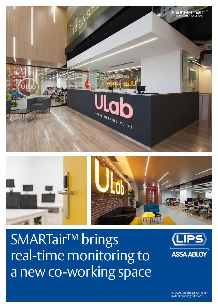ASSA ABLOY, the global leader in door opening solutions

# SMARTair<sup>™</sup> brings real-time monitoring to a new co-working space